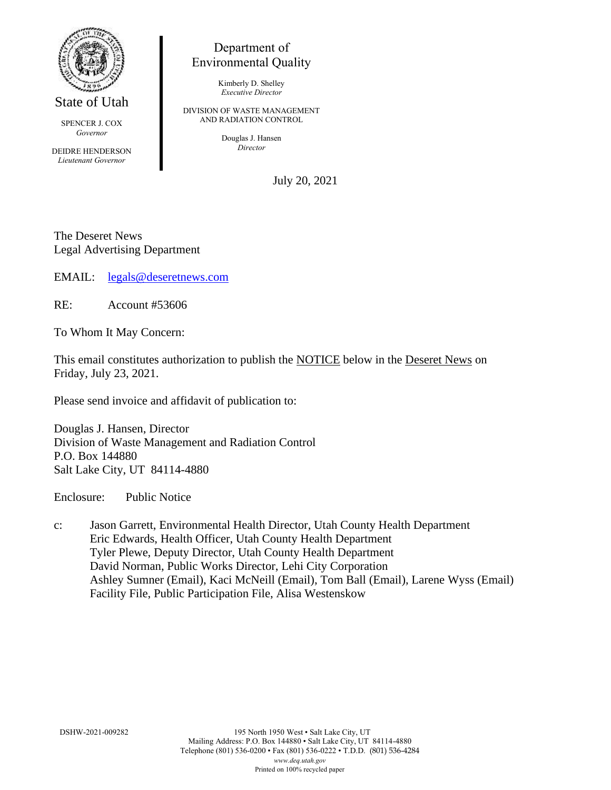

State of Utah

SPENCER J. COX *Governor*

DEIDRE HENDERSON *Lieutenant Governor*

## Department of Environmental Quality

Kimberly D. Shelley *Executive Director*

DIVISION OF WASTE MANAGEMENT AND RADIATION CONTROL

> Douglas J. Hansen *Director*

> > July 20, 2021

The Deseret News Legal Advertising Department

EMAIL: [legals@deseretnews.com](mailto:legals@deseretnews.com)

RE: Account #53606

To Whom It May Concern:

This email constitutes authorization to publish the NOTICE below in the Deseret News on Friday, July 23, 2021.

Please send invoice and affidavit of publication to:

Douglas J. Hansen, Director Division of Waste Management and Radiation Control P.O. Box 144880 Salt Lake City, UT 84114-4880

Enclosure: Public Notice

c: Jason Garrett, Environmental Health Director, Utah County Health Department Eric Edwards, Health Officer, Utah County Health Department Tyler Plewe, Deputy Director, Utah County Health Department David Norman, Public Works Director, Lehi City Corporation Ashley Sumner (Email), Kaci McNeill (Email), Tom Ball (Email), Larene Wyss (Email) Facility File, Public Participation File, Alisa Westenskow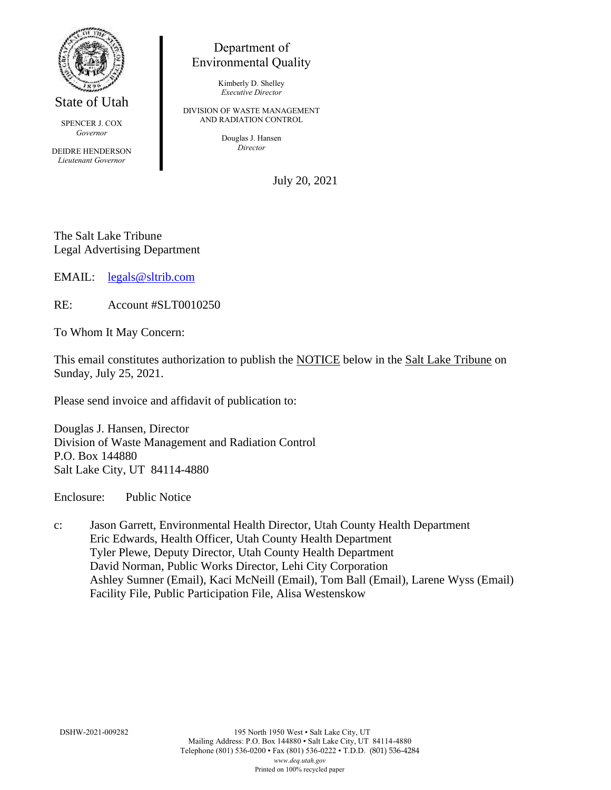

State of Utah

SPENCER J. COX *Governor*

DEIDRE HENDERSON *Lieutenant Governor*

## Department of Environmental Quality

Kimberly D. Shelley *Executive Director*

DIVISION OF WASTE MANAGEMENT AND RADIATION CONTROL

> Douglas J. Hansen *Director*

> > July 20, 2021

The Salt Lake Tribune Legal Advertising Department

EMAIL: [legals@sltrib.com](mailto:legals@sltrib.com)

RE: Account #SLT0010250

To Whom It May Concern:

This email constitutes authorization to publish the NOTICE below in the Salt Lake Tribune on Sunday, July 25, 2021.

Please send invoice and affidavit of publication to:

Douglas J. Hansen, Director Division of Waste Management and Radiation Control P.O. Box 144880 Salt Lake City, UT 84114-4880

Enclosure: Public Notice

c: Jason Garrett, Environmental Health Director, Utah County Health Department Eric Edwards, Health Officer, Utah County Health Department Tyler Plewe, Deputy Director, Utah County Health Department David Norman, Public Works Director, Lehi City Corporation Ashley Sumner (Email), Kaci McNeill (Email), Tom Ball (Email), Larene Wyss (Email) Facility File, Public Participation File, Alisa Westenskow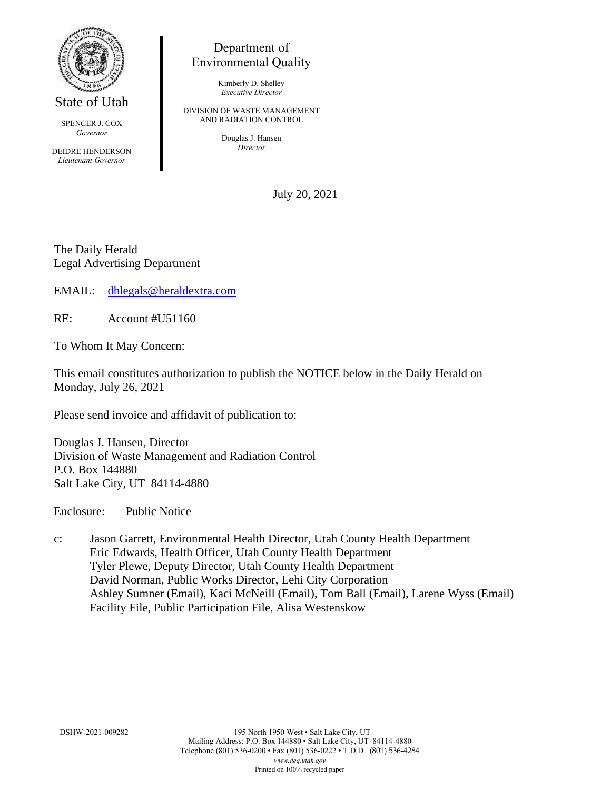

State of Utah

SPENCER J. COX *Governor*

DEIDRE HENDERSON *Lieutenant Governor*

## Department of Environmental Quality

Kimberly D. Shelley *Executive Director*

DIVISION OF WASTE MANAGEMENT AND RADIATION CONTROL

> Douglas J. Hansen *Director*

> > July 20, 2021

The Daily Herald Legal Advertising Department

EMAIL: [dhlegals@heraldextra.com](mailto:dhlegals@heraldextra.com)

RE: Account #U51160

To Whom It May Concern:

This email constitutes authorization to publish the NOTICE below in the Daily Herald on Monday, July 26, 2021

Please send invoice and affidavit of publication to:

Douglas J. Hansen, Director Division of Waste Management and Radiation Control P.O. Box 144880 Salt Lake City, UT 84114-4880

Enclosure: Public Notice

c: Jason Garrett, Environmental Health Director, Utah County Health Department Eric Edwards, Health Officer, Utah County Health Department Tyler Plewe, Deputy Director, Utah County Health Department David Norman, Public Works Director, Lehi City Corporation Ashley Sumner (Email), Kaci McNeill (Email), Tom Ball (Email), Larene Wyss (Email) Facility File, Public Participation File, Alisa Westenskow